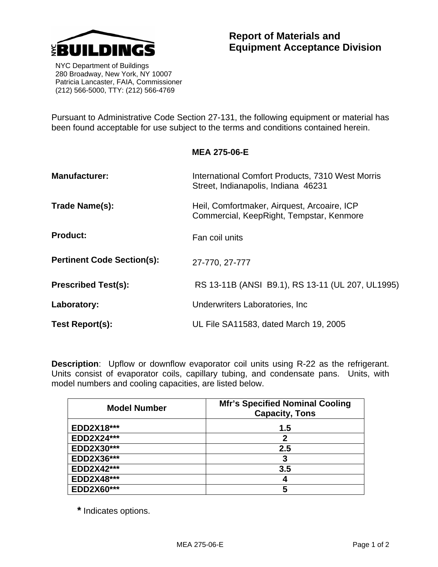

 NYC Department of Buildings 280 Broadway, New York, NY 10007 Patricia Lancaster, FAIA, Commissioner (212) 566-5000, TTY: (212) 566-4769

Pursuant to Administrative Code Section 27-131, the following equipment or material has been found acceptable for use subject to the terms and conditions contained herein.

**MEA 275-06-E** 

| <b>Manufacturer:</b>              | International Comfort Products, 7310 West Morris<br>Street, Indianapolis, Indiana 46231 |  |  |
|-----------------------------------|-----------------------------------------------------------------------------------------|--|--|
| Trade Name(s):                    | Heil, Comfortmaker, Airquest, Arcoaire, ICP<br>Commercial, KeepRight, Tempstar, Kenmore |  |  |
| <b>Product:</b>                   | Fan coil units                                                                          |  |  |
| <b>Pertinent Code Section(s):</b> | 27-770, 27-777                                                                          |  |  |
| <b>Prescribed Test(s):</b>        | RS 13-11B (ANSI B9.1), RS 13-11 (UL 207, UL1995)                                        |  |  |
| Laboratory:                       | Underwriters Laboratories, Inc.                                                         |  |  |
| Test Report(s):                   | UL File SA11583, dated March 19, 2005                                                   |  |  |

**Description:** Upflow or downflow evaporator coil units using R-22 as the refrigerant. Units consist of evaporator coils, capillary tubing, and condensate pans. Units, with model numbers and cooling capacities, are listed below.

| <b>Model Number</b> | <b>Mfr's Specified Nominal Cooling</b><br><b>Capacity, Tons</b> |  |  |
|---------------------|-----------------------------------------------------------------|--|--|
| EDD2X18***          | 1.5                                                             |  |  |
| <b>EDD2X24***</b>   | 2                                                               |  |  |
| EDD2X30***          | 2.5                                                             |  |  |
| EDD2X36***          | 3                                                               |  |  |
| EDD2X42***          | 3.5                                                             |  |  |
| EDD2X48***          | 4                                                               |  |  |
| EDD2X60***          | 5                                                               |  |  |

**\*** Indicates options.